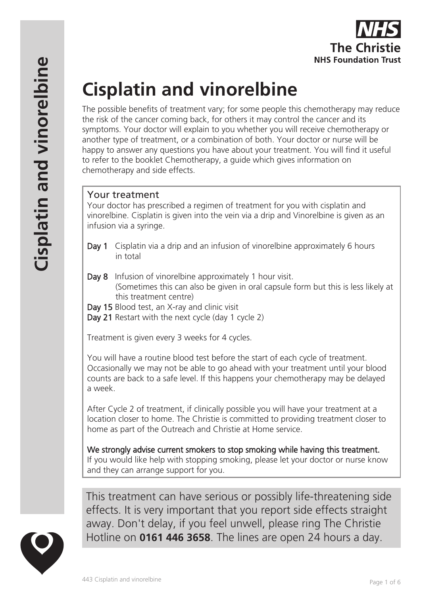# **Cisplatin and vinorelbine**

The possible benefits of treatment vary; for some people this chemotherapy may reduce the risk of the cancer coming back, for others it may control the cancer and its symptoms. Your doctor will explain to you whether you will receive chemotherapy or another type of treatment, or a combination of both. Your doctor or nurse will be happy to answer any questions you have about your treatment. You will find it useful to refer to the booklet Chemotherapy, a guide which gives information on chemotherapy and side effects.

# Your treatment

Your doctor has prescribed a regimen of treatment for you with cisplatin and vinorelbine. Cisplatin is given into the vein via a drip and Vinorelbine is given as an infusion via a syringe.

- Day 1 Cisplatin via a drip and an infusion of vinorelbine approximately 6 hours in total
- Day 8 Infusion of vinorelbine approximately 1 hour visit. (Sometimes this can also be given in oral capsule form but this is less likely at this treatment centre)
- Day 15 Blood test, an X-ray and clinic visit
- Day 21 Restart with the next cycle (day 1 cycle 2)

Treatment is given every 3 weeks for 4 cycles.

You will have a routine blood test before the start of each cycle of treatment. Occasionally we may not be able to go ahead with your treatment until your blood counts are back to a safe level. If this happens your chemotherapy may be delayed a week.

After Cycle 2 of treatment, if clinically possible you will have your treatment at a location closer to home. The Christie is committed to providing treatment closer to home as part of the Outreach and Christie at Home service.

We strongly advise current smokers to stop smoking while having this treatment. If you would like help with stopping smoking, please let your doctor or nurse know and they can arrange support for you.

This treatment can have serious or possibly life-threatening side effects. It is very important that you report side effects straight away. Don't delay, if you feel unwell, please ring The Christie Hotline on **0161 446 3658**. The lines are open 24 hours a day.

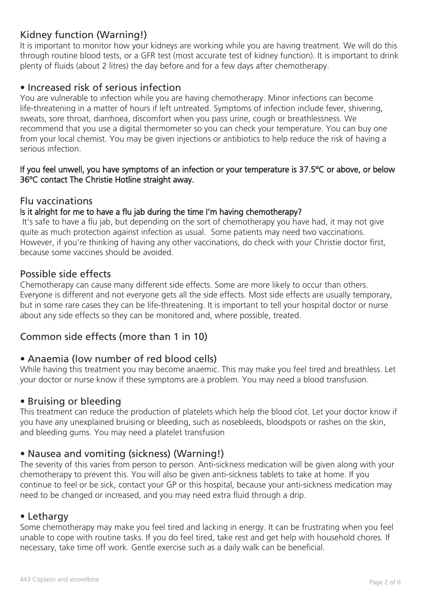# Kidney function (Warning!)

It is important to monitor how your kidneys are working while you are having treatment. We will do this through routine blood tests, or a GFR test (most accurate test of kidney function). It is important to drink plenty of fluids (about 2 litres) the day before and for a few days after chemotherapy.

## • Increased risk of serious infection

You are vulnerable to infection while you are having chemotherapy. Minor infections can become life-threatening in a matter of hours if left untreated. Symptoms of infection include fever, shivering, sweats, sore throat, diarrhoea, discomfort when you pass urine, cough or breathlessness. We recommend that you use a digital thermometer so you can check your temperature. You can buy one from your local chemist. You may be given injections or antibiotics to help reduce the risk of having a serious infection.

#### If you feel unwell, you have symptoms of an infection or your temperature is 37.5ºC or above, or below 36ºC contact The Christie Hotline straight away.

## Flu vaccinations

#### Is it alright for me to have a flu jab during the time I'm having chemotherapy?

 It's safe to have a flu jab, but depending on the sort of chemotherapy you have had, it may not give quite as much protection against infection as usual. Some patients may need two vaccinations. However, if you're thinking of having any other vaccinations, do check with your Christie doctor first, because some vaccines should be avoided.

#### Possible side effects

Chemotherapy can cause many different side effects. Some are more likely to occur than others. Everyone is different and not everyone gets all the side effects. Most side effects are usually temporary, but in some rare cases they can be life-threatening. It is important to tell your hospital doctor or nurse about any side effects so they can be monitored and, where possible, treated.

## Common side effects (more than 1 in 10)

## • Anaemia (low number of red blood cells)

While having this treatment you may become anaemic. This may make you feel tired and breathless. Let your doctor or nurse know if these symptoms are a problem. You may need a blood transfusion.

## • Bruising or bleeding

This treatment can reduce the production of platelets which help the blood clot. Let your doctor know if you have any unexplained bruising or bleeding, such as nosebleeds, bloodspots or rashes on the skin, and bleeding gums. You may need a platelet transfusion

## • Nausea and vomiting (sickness) (Warning!)

The severity of this varies from person to person. Anti-sickness medication will be given along with your chemotherapy to prevent this. You will also be given anti-sickness tablets to take at home. If you continue to feel or be sick, contact your GP or this hospital, because your anti-sickness medication may need to be changed or increased, and you may need extra fluid through a drip.

## • Lethargy

Some chemotherapy may make you feel tired and lacking in energy. It can be frustrating when you feel unable to cope with routine tasks. If you do feel tired, take rest and get help with household chores. If necessary, take time off work. Gentle exercise such as a daily walk can be beneficial.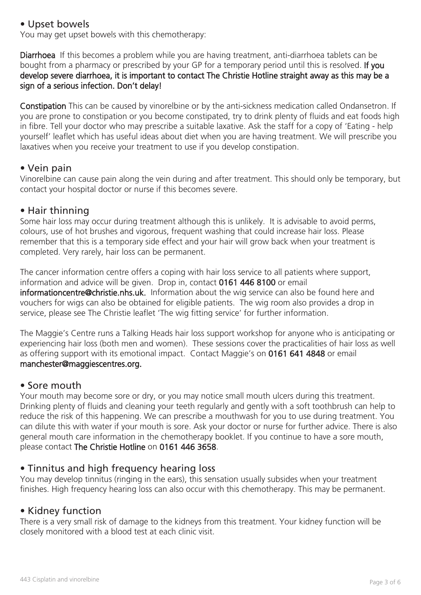## • Upset bowels

You may get upset bowels with this chemotherapy:

Diarrhoea If this becomes a problem while you are having treatment, anti-diarrhoea tablets can be bought from a pharmacy or prescribed by your GP for a temporary period until this is resolved. If you develop severe diarrhoea, it is important to contact The Christie Hotline straight away as this may be a sign of a serious infection. Don't delay!

Constipation This can be caused by vinorelbine or by the anti-sickness medication called Ondansetron. If you are prone to constipation or you become constipated, try to drink plenty of fluids and eat foods high in fibre. Tell your doctor who may prescribe a suitable laxative. Ask the staff for a copy of 'Eating - help yourself' leaflet which has useful ideas about diet when you are having treatment. We will prescribe you laxatives when you receive your treatment to use if you develop constipation.

## • Vein pain

Vinorelbine can cause pain along the vein during and after treatment. This should only be temporary, but contact your hospital doctor or nurse if this becomes severe.

## • Hair thinning

Some hair loss may occur during treatment although this is unlikely. It is advisable to avoid perms, colours, use of hot brushes and vigorous, frequent washing that could increase hair loss. Please remember that this is a temporary side effect and your hair will grow back when your treatment is completed. Very rarely, hair loss can be permanent.

The cancer information centre offers a coping with hair loss service to all patients where support, information and advice will be given. Drop in, contact 0161 446 8100 or email informationcentre@christie.nhs.uk. Information about the wig service can also be found here and vouchers for wigs can also be obtained for eligible patients. The wig room also provides a drop in service, please see The Christie leaflet 'The wig fitting service' for further information.

The Maggie's Centre runs a Talking Heads hair loss support workshop for anyone who is anticipating or experiencing hair loss (both men and women). These sessions cover the practicalities of hair loss as well as offering support with its emotional impact. Contact Maggie's on 0161 641 4848 or email manchester@maggiescentres.org.

## • Sore mouth

Your mouth may become sore or dry, or you may notice small mouth ulcers during this treatment. Drinking plenty of fluids and cleaning your teeth regularly and gently with a soft toothbrush can help to reduce the risk of this happening. We can prescribe a mouthwash for you to use during treatment. You can dilute this with water if your mouth is sore. Ask your doctor or nurse for further advice. There is also general mouth care information in the chemotherapy booklet. If you continue to have a sore mouth, please contact The Christie Hotline on 0161 446 3658.

## • Tinnitus and high frequency hearing loss

You may develop tinnitus (ringing in the ears), this sensation usually subsides when your treatment finishes. High frequency hearing loss can also occur with this chemotherapy. This may be permanent.

## • Kidney function

There is a very small risk of damage to the kidneys from this treatment. Your kidney function will be closely monitored with a blood test at each clinic visit.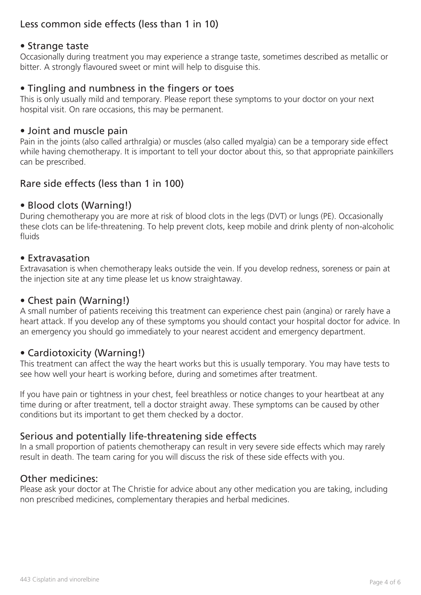# Less common side effects (less than 1 in 10)

## • Strange taste

Occasionally during treatment you may experience a strange taste, sometimes described as metallic or bitter. A strongly flavoured sweet or mint will help to disguise this.

## • Tingling and numbness in the fingers or toes

This is only usually mild and temporary. Please report these symptoms to your doctor on your next hospital visit. On rare occasions, this may be permanent.

## • Joint and muscle pain

Pain in the joints (also called arthralgia) or muscles (also called myalgia) can be a temporary side effect while having chemotherapy. It is important to tell your doctor about this, so that appropriate painkillers can be prescribed.

## Rare side effects (less than 1 in 100)

## • Blood clots (Warning!)

During chemotherapy you are more at risk of blood clots in the legs (DVT) or lungs (PE). Occasionally these clots can be life-threatening. To help prevent clots, keep mobile and drink plenty of non-alcoholic fluids

#### • Extravasation

Extravasation is when chemotherapy leaks outside the vein. If you develop redness, soreness or pain at the injection site at any time please let us know straightaway.

## • Chest pain (Warning!)

A small number of patients receiving this treatment can experience chest pain (angina) or rarely have a heart attack. If you develop any of these symptoms you should contact your hospital doctor for advice. In an emergency you should go immediately to your nearest accident and emergency department.

## • Cardiotoxicity (Warning!)

This treatment can affect the way the heart works but this is usually temporary. You may have tests to see how well your heart is working before, during and sometimes after treatment.

If you have pain or tightness in your chest, feel breathless or notice changes to your heartbeat at any time during or after treatment, tell a doctor straight away. These symptoms can be caused by other conditions but its important to get them checked by a doctor.

## Serious and potentially life-threatening side effects

In a small proportion of patients chemotherapy can result in very severe side effects which may rarely result in death. The team caring for you will discuss the risk of these side effects with you.

## Other medicines:

Please ask your doctor at The Christie for advice about any other medication you are taking, including non prescribed medicines, complementary therapies and herbal medicines.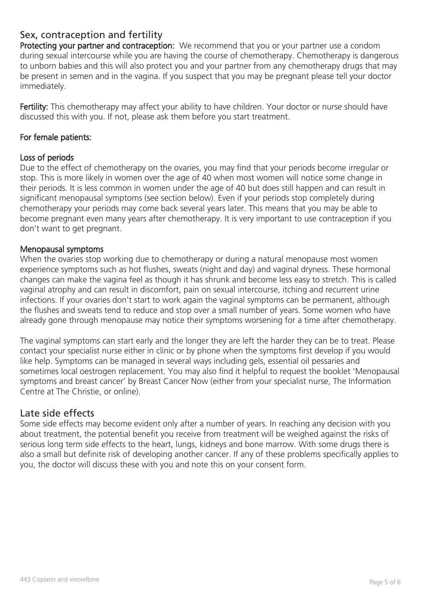## Sex, contraception and fertility

Protecting your partner and contraception: We recommend that you or your partner use a condom during sexual intercourse while you are having the course of chemotherapy. Chemotherapy is dangerous to unborn babies and this will also protect you and your partner from any chemotherapy drugs that may be present in semen and in the vagina. If you suspect that you may be pregnant please tell your doctor immediately.

Fertility: This chemotherapy may affect your ability to have children. Your doctor or nurse should have discussed this with you. If not, please ask them before you start treatment.

#### For female patients:

#### Loss of periods

Due to the effect of chemotherapy on the ovaries, you may find that your periods become irregular or stop. This is more likely in women over the age of 40 when most women will notice some change in their periods. It is less common in women under the age of 40 but does still happen and can result in significant menopausal symptoms (see section below). Even if your periods stop completely during chemotherapy your periods may come back several years later. This means that you may be able to become pregnant even many years after chemotherapy. It is very important to use contraception if you don't want to get pregnant.

#### Menopausal symptoms

When the ovaries stop working due to chemotherapy or during a natural menopause most women experience symptoms such as hot flushes, sweats (night and day) and vaginal dryness. These hormonal changes can make the vagina feel as though it has shrunk and become less easy to stretch. This is called vaginal atrophy and can result in discomfort, pain on sexual intercourse, itching and recurrent urine infections. If your ovaries don't start to work again the vaginal symptoms can be permanent, although the flushes and sweats tend to reduce and stop over a small number of years. Some women who have already gone through menopause may notice their symptoms worsening for a time after chemotherapy.

The vaginal symptoms can start early and the longer they are left the harder they can be to treat. Please contact your specialist nurse either in clinic or by phone when the symptoms first develop if you would like help. Symptoms can be managed in several ways including gels, essential oil pessaries and sometimes local oestrogen replacement. You may also find it helpful to request the booklet 'Menopausal symptoms and breast cancer' by Breast Cancer Now (either from your specialist nurse, The Information Centre at The Christie, or online).

## Late side effects

Some side effects may become evident only after a number of years. In reaching any decision with you about treatment, the potential benefit you receive from treatment will be weighed against the risks of serious long term side effects to the heart, lungs, kidneys and bone marrow. With some drugs there is also a small but definite risk of developing another cancer. If any of these problems specifically applies to you, the doctor will discuss these with you and note this on your consent form.